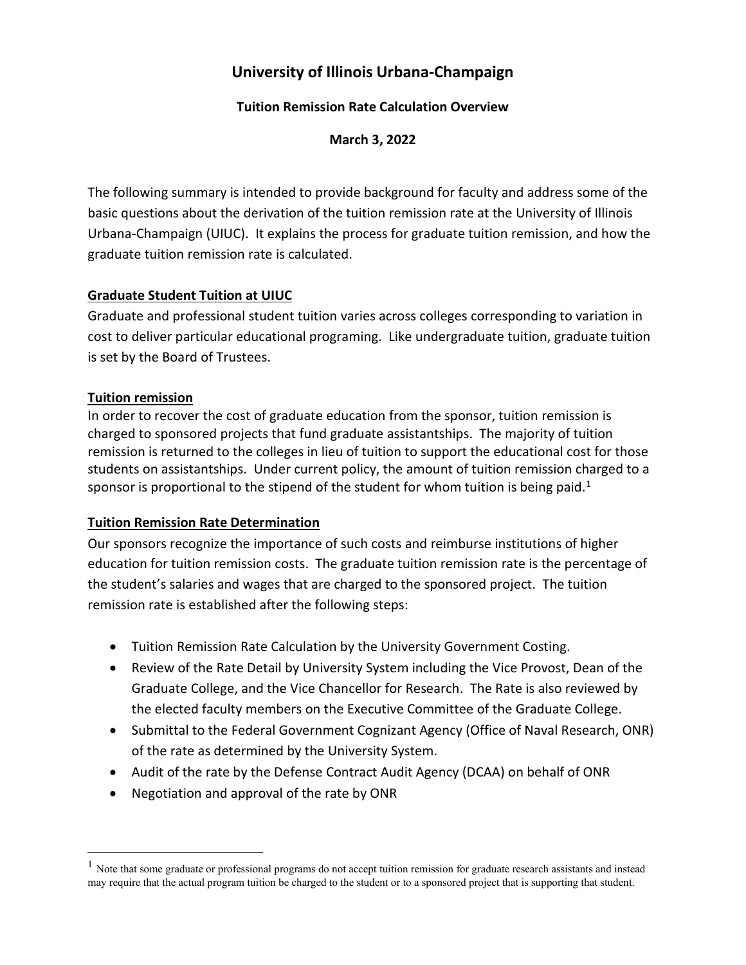# **University of Illinois Urbana-Champaign**

## **Tuition Remission Rate Calculation Overview**

**March 3, 2022**

The following summary is intended to provide background for faculty and address some of the basic questions about the derivation of the tuition remission rate at the University of Illinois Urbana-Champaign (UIUC). It explains the process for graduate tuition remission, and how the graduate tuition remission rate is calculated.

## **Graduate Student Tuition at UIUC**

Graduate and professional student tuition varies across colleges corresponding to variation in cost to deliver particular educational programing. Like undergraduate tuition, graduate tuition is set by the Board of Trustees.

## **Tuition remission**

In order to recover the cost of graduate education from the sponsor, tuition remission is charged to sponsored projects that fund graduate assistantships. The majority of tuition remission is returned to the colleges in lieu of tuition to support the educational cost for those students on assistantships. Under current policy, the amount of tuition remission charged to a sponsor is proportional to the stipend of the student for whom tuition is being paid.<sup>[1](#page-0-0)</sup>

## **Tuition Remission Rate Determination**

Our sponsors recognize the importance of such costs and reimburse institutions of higher education for tuition remission costs. The graduate tuition remission rate is the percentage of the student's salaries and wages that are charged to the sponsored project. The tuition remission rate is established after the following steps:

- Tuition Remission Rate Calculation by the University Government Costing.
- Review of the Rate Detail by University System including the Vice Provost, Dean of the Graduate College, and the Vice Chancellor for Research. The Rate is also reviewed by the elected faculty members on the Executive Committee of the Graduate College.
- Submittal to the Federal Government Cognizant Agency (Office of Naval Research, ONR) of the rate as determined by the University System.
- Audit of the rate by the Defense Contract Audit Agency (DCAA) on behalf of ONR
- Negotiation and approval of the rate by ONR

<span id="page-0-0"></span><sup>&</sup>lt;sup>1</sup> Note that some graduate or professional programs do not accept tuition remission for graduate research assistants and instead may require that the actual program tuition be charged to the student or to a sponsored project that is supporting that student.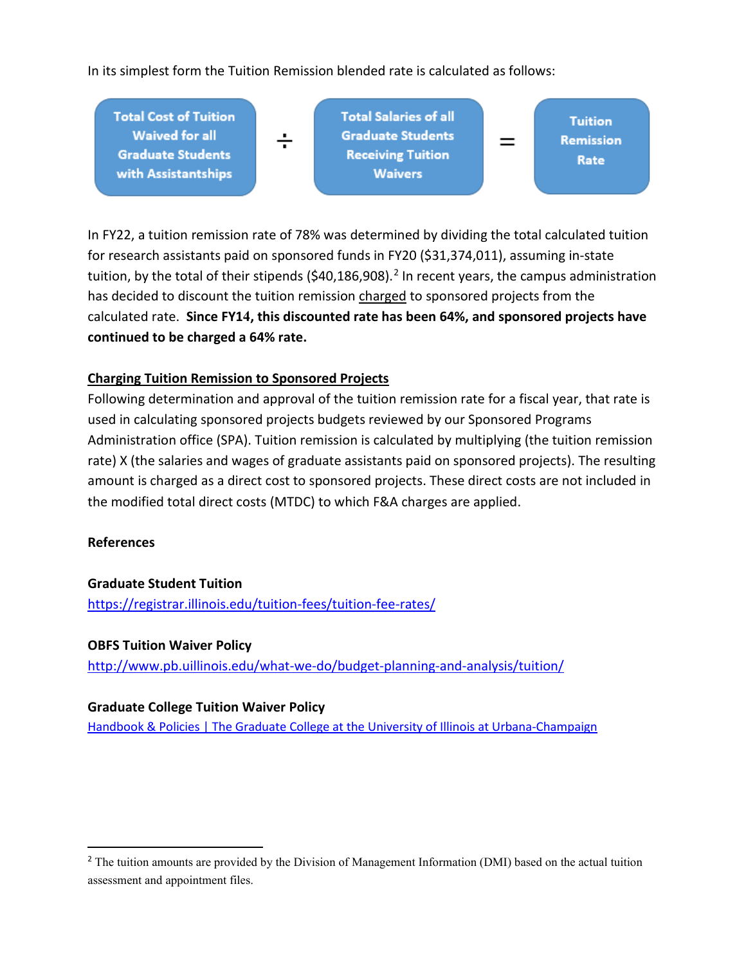In its simplest form the Tuition Remission blended rate is calculated as follows:



In FY22, a tuition remission rate of 78% was determined by dividing the total calculated tuition for research assistants paid on sponsored funds in FY20 (\$31,374,011), assuming in-state tuition, by the total of their stipends (\$40,186,908).<sup>[2](#page-1-0)</sup> In recent years, the campus administration has decided to discount the tuition remission charged to sponsored projects from the calculated rate. **Since FY14, this discounted rate has been 64%, and sponsored projects have continued to be charged a 64% rate.**

## **Charging Tuition Remission to Sponsored Projects**

Following determination and approval of the tuition remission rate for a fiscal year, that rate is used in calculating sponsored projects budgets reviewed by our Sponsored Programs Administration office (SPA). Tuition remission is calculated by multiplying (the tuition remission rate) X (the salaries and wages of graduate assistants paid on sponsored projects). The resulting amount is charged as a direct cost to sponsored projects. These direct costs are not included in the modified total direct costs (MTDC) to which F&A charges are applied.

### **References**

**Graduate Student Tuition** <https://registrar.illinois.edu/tuition-fees/tuition-fee-rates/>

### **OBFS Tuition Waiver Policy**

<http://www.pb.uillinois.edu/what-we-do/budget-planning-and-analysis/tuition/>

### **Graduate College Tuition Waiver Policy**

[Handbook & Policies | The Graduate College at the University of Illinois at Urbana-Champaign](https://grad.illinois.edu/handbooks-policies)

<span id="page-1-0"></span><sup>&</sup>lt;sup>2</sup> The tuition amounts are provided by the Division of Management Information (DMI) based on the actual tuition assessment and appointment files.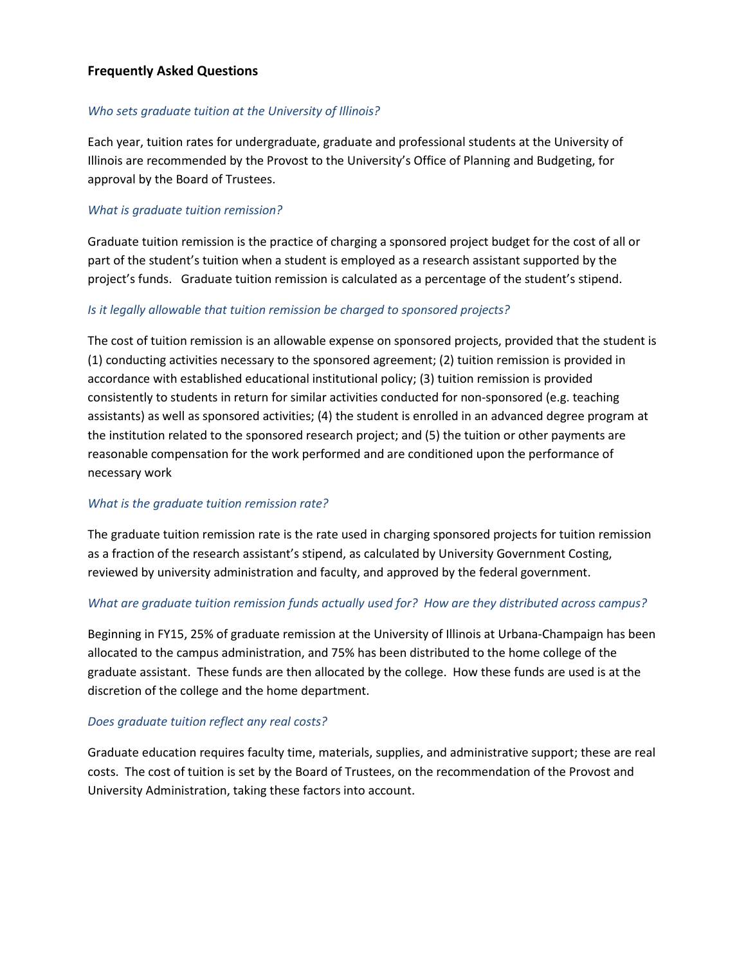### **Frequently Asked Questions**

#### *Who sets graduate tuition at the University of Illinois?*

Each year, tuition rates for undergraduate, graduate and professional students at the University of Illinois are recommended by the Provost to the University's Office of Planning and Budgeting, for approval by the Board of Trustees.

#### *What is graduate tuition remission?*

Graduate tuition remission is the practice of charging a sponsored project budget for the cost of all or part of the student's tuition when a student is employed as a research assistant supported by the project's funds. Graduate tuition remission is calculated as a percentage of the student's stipend.

#### *Is it legally allowable that tuition remission be charged to sponsored projects?*

The cost of tuition remission is an allowable expense on sponsored projects, provided that the student is (1) conducting activities necessary to the sponsored agreement; (2) tuition remission is provided in accordance with established educational institutional policy; (3) tuition remission is provided consistently to students in return for similar activities conducted for non-sponsored (e.g. teaching assistants) as well as sponsored activities; (4) the student is enrolled in an advanced degree program at the institution related to the sponsored research project; and (5) the tuition or other payments are reasonable compensation for the work performed and are conditioned upon the performance of necessary work

### *What is the graduate tuition remission rate?*

The graduate tuition remission rate is the rate used in charging sponsored projects for tuition remission as a fraction of the research assistant's stipend, as calculated by University Government Costing, reviewed by university administration and faculty, and approved by the federal government.

### *What are graduate tuition remission funds actually used for? How are they distributed across campus?*

Beginning in FY15, 25% of graduate remission at the University of Illinois at Urbana-Champaign has been allocated to the campus administration, and 75% has been distributed to the home college of the graduate assistant. These funds are then allocated by the college. How these funds are used is at the discretion of the college and the home department.

#### *Does graduate tuition reflect any real costs?*

Graduate education requires faculty time, materials, supplies, and administrative support; these are real costs. The cost of tuition is set by the Board of Trustees, on the recommendation of the Provost and University Administration, taking these factors into account.